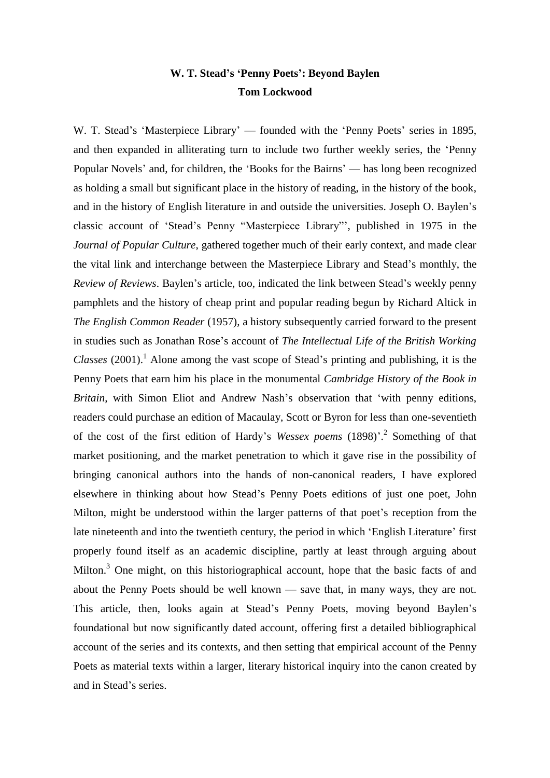## **W. T. Stead's 'Penny Poets': Beyond Baylen Tom Lockwood**

W. T. Stead's 'Masterpiece Library' — founded with the 'Penny Poets' series in 1895, and then expanded in alliterating turn to include two further weekly series, the 'Penny Popular Novels' and, for children, the 'Books for the Bairns' — has long been recognized as holding a small but significant place in the history of reading, in the history of the book, and in the history of English literature in and outside the universities. Joseph O. Baylen's classic account of 'Stead's Penny "Masterpiece Library"', published in 1975 in the *Journal of Popular Culture*, gathered together much of their early context, and made clear the vital link and interchange between the Masterpiece Library and Stead's monthly, the *Review of Reviews*. Baylen's article, too, indicated the link between Stead's weekly penny pamphlets and the history of cheap print and popular reading begun by Richard Altick in *The English Common Reader* (1957), a history subsequently carried forward to the present in studies such as Jonathan Rose's account of *The Intellectual Life of the British Working Classes* (2001).<sup>1</sup> Alone among the vast scope of Stead's printing and publishing, it is the Penny Poets that earn him his place in the monumental *Cambridge History of the Book in Britain*, with Simon Eliot and Andrew Nash's observation that 'with penny editions, readers could purchase an edition of Macaulay, Scott or Byron for less than one-seventieth of the cost of the first edition of Hardy's *Wessex poems* (1898)'. 2 Something of that market positioning, and the market penetration to which it gave rise in the possibility of bringing canonical authors into the hands of non-canonical readers, I have explored elsewhere in thinking about how Stead's Penny Poets editions of just one poet, John Milton, might be understood within the larger patterns of that poet's reception from the late nineteenth and into the twentieth century, the period in which 'English Literature' first properly found itself as an academic discipline, partly at least through arguing about Milton.<sup>3</sup> One might, on this historiographical account, hope that the basic facts of and about the Penny Poets should be well known — save that, in many ways, they are not. This article, then, looks again at Stead's Penny Poets, moving beyond Baylen's foundational but now significantly dated account, offering first a detailed bibliographical account of the series and its contexts, and then setting that empirical account of the Penny Poets as material texts within a larger, literary historical inquiry into the canon created by and in Stead's series.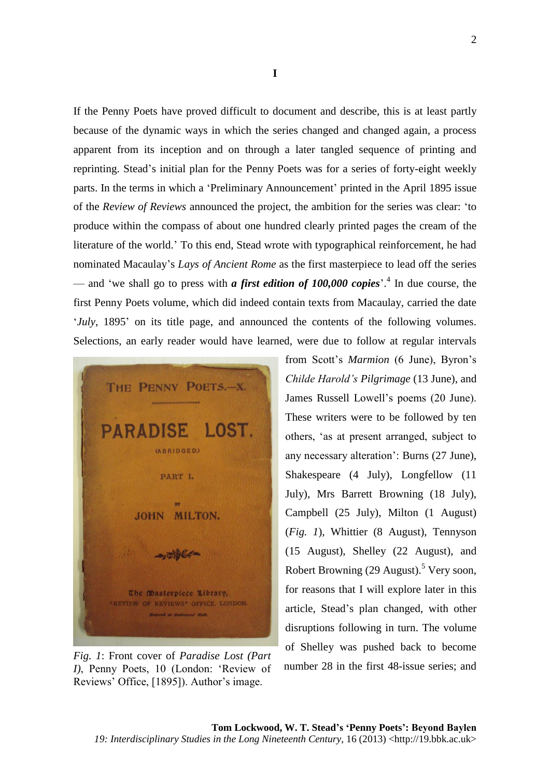If the Penny Poets have proved difficult to document and describe, this is at least partly because of the dynamic ways in which the series changed and changed again, a process apparent from its inception and on through a later tangled sequence of printing and reprinting. Stead's initial plan for the Penny Poets was for a series of forty-eight weekly parts. In the terms in which a 'Preliminary Announcement' printed in the April 1895 issue of the *Review of Reviews* announced the project, the ambition for the series was clear: 'to produce within the compass of about one hundred clearly printed pages the cream of the literature of the world.' To this end, Stead wrote with typographical reinforcement, he had nominated Macaulay's *Lays of Ancient Rome* as the first masterpiece to lead off the series — and 'we shall go to press with *a first edition of 100,000 copies*'. 4 In due course, the first Penny Poets volume, which did indeed contain texts from Macaulay, carried the date '*July*, 1895' on its title page, and announced the contents of the following volumes. Selections, an early reader would have learned, were due to follow at regular intervals



*Fig. 1*: Front cover of *Paradise Lost (Part I)*, Penny Poets, 10 (London: 'Review of Reviews' Office, [1895]). Author's image.

from Scott's *Marmion* (6 June), Byron's *Childe Harold's Pilgrimage* (13 June), and James Russell Lowell's poems (20 June). These writers were to be followed by ten others, 'as at present arranged, subject to any necessary alteration': Burns (27 June), Shakespeare (4 July), Longfellow (11 July), Mrs Barrett Browning (18 July), Campbell (25 July), Milton (1 August) (*Fig. 1*), Whittier (8 August), Tennyson (15 August), Shelley (22 August), and Robert Browning  $(29 \text{ August})$ .<sup>5</sup> Very soon, for reasons that I will explore later in this article, Stead's plan changed, with other disruptions following in turn. The volume of Shelley was pushed back to become number 28 in the first 48-issue series; and

 $\mathcal{D}_{\alpha}$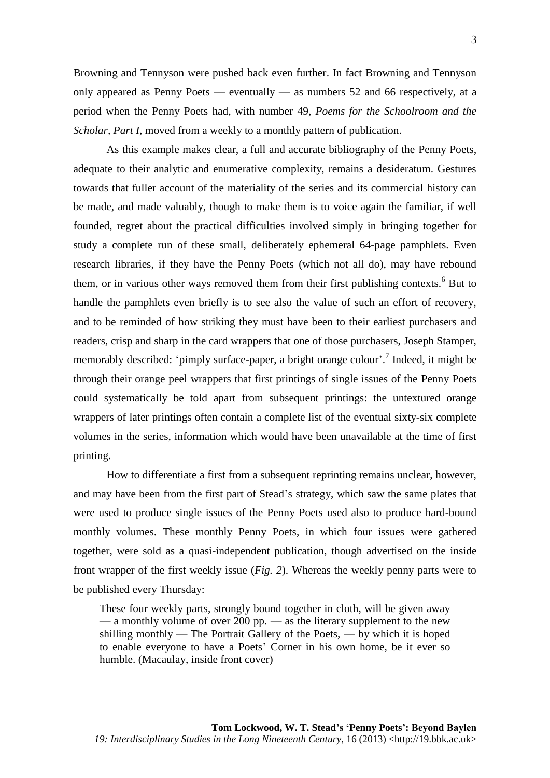Browning and Tennyson were pushed back even further. In fact Browning and Tennyson only appeared as Penny Poets — eventually — as numbers 52 and 66 respectively, at a period when the Penny Poets had, with number 49, *Poems for the Schoolroom and the Scholar, Part I, moved from a weekly to a monthly pattern of publication.* 

As this example makes clear, a full and accurate bibliography of the Penny Poets, adequate to their analytic and enumerative complexity, remains a desideratum. Gestures towards that fuller account of the materiality of the series and its commercial history can be made, and made valuably, though to make them is to voice again the familiar, if well founded, regret about the practical difficulties involved simply in bringing together for study a complete run of these small, deliberately ephemeral 64-page pamphlets. Even research libraries, if they have the Penny Poets (which not all do), may have rebound them, or in various other ways removed them from their first publishing contexts.<sup>6</sup> But to handle the pamphlets even briefly is to see also the value of such an effort of recovery, and to be reminded of how striking they must have been to their earliest purchasers and readers, crisp and sharp in the card wrappers that one of those purchasers, Joseph Stamper, memorably described: 'pimply surface-paper, a bright orange colour'.<sup>7</sup> Indeed, it might be through their orange peel wrappers that first printings of single issues of the Penny Poets could systematically be told apart from subsequent printings: the untextured orange wrappers of later printings often contain a complete list of the eventual sixty-six complete volumes in the series, information which would have been unavailable at the time of first printing.

How to differentiate a first from a subsequent reprinting remains unclear, however, and may have been from the first part of Stead's strategy, which saw the same plates that were used to produce single issues of the Penny Poets used also to produce hard-bound monthly volumes. These monthly Penny Poets, in which four issues were gathered together, were sold as a quasi-independent publication, though advertised on the inside front wrapper of the first weekly issue (*Fig. 2*). Whereas the weekly penny parts were to be published every Thursday:

These four weekly parts, strongly bound together in cloth, will be given away — a monthly volume of over 200 pp. — as the literary supplement to the new shilling monthly — The Portrait Gallery of the Poets, — by which it is hoped to enable everyone to have a Poets' Corner in his own home, be it ever so humble. (Macaulay, inside front cover)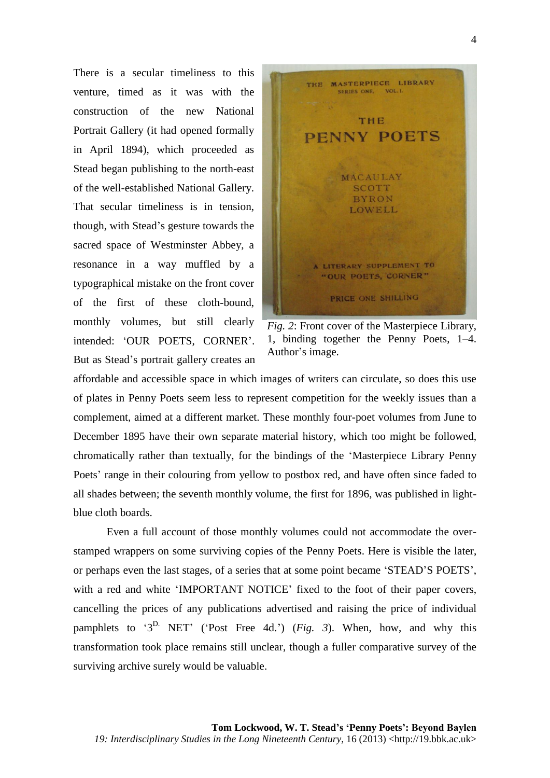There is a secular timeliness to this venture, timed as it was with the construction of the new National Portrait Gallery (it had opened formally in April 1894), which proceeded as Stead began publishing to the north-east of the well-established National Gallery. That secular timeliness is in tension, though, with Stead's gesture towards the sacred space of Westminster Abbey, a resonance in a way muffled by a typographical mistake on the front cover of the first of these cloth-bound, monthly volumes, but still clearly intended: 'OUR POETS, CORNER'. But as Stead's portrait gallery creates an



*Fig. 2*: Front cover of the Masterpiece Library, 1, binding together the Penny Poets, 1–4. Author's image.

affordable and accessible space in which images of writers can circulate, so does this use of plates in Penny Poets seem less to represent competition for the weekly issues than a complement, aimed at a different market. These monthly four-poet volumes from June to December 1895 have their own separate material history, which too might be followed, chromatically rather than textually, for the bindings of the 'Masterpiece Library Penny Poets' range in their colouring from yellow to postbox red, and have often since faded to all shades between; the seventh monthly volume, the first for 1896, was published in lightblue cloth boards.

Even a full account of those monthly volumes could not accommodate the overstamped wrappers on some surviving copies of the Penny Poets. Here is visible the later, or perhaps even the last stages, of a series that at some point became 'STEAD'S POETS', with a red and white 'IMPORTANT NOTICE' fixed to the foot of their paper covers, cancelling the prices of any publications advertised and raising the price of individual pamphlets to ' $3^D$ . NET' ('Post Free 4d.') (*Fig. 3*). When, how, and why this transformation took place remains still unclear, though a fuller comparative survey of the surviving archive surely would be valuable.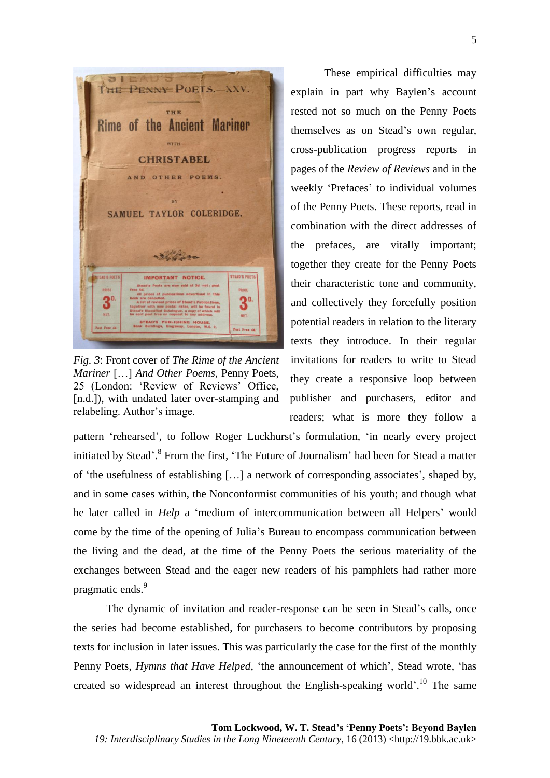

*Fig. 3*: Front cover of *The Rime of the Ancient Mariner* […] *And Other Poems*, Penny Poets, 25 (London: 'Review of Reviews' Office, [n.d.]), with undated later over-stamping and relabeling. Author's image.

These empirical difficulties may explain in part why Baylen's account rested not so much on the Penny Poets themselves as on Stead's own regular, cross-publication progress reports in pages of the *Review of Reviews* and in the weekly 'Prefaces' to individual volumes of the Penny Poets. These reports, read in combination with the direct addresses of the prefaces, are vitally important; together they create for the Penny Poets their characteristic tone and community, and collectively they forcefully position potential readers in relation to the literary texts they introduce. In their regular invitations for readers to write to Stead they create a responsive loop between publisher and purchasers, editor and readers; what is more they follow a

pattern 'rehearsed', to follow Roger Luckhurst's formulation, 'in nearly every project initiated by Stead'.<sup>8</sup> From the first, 'The Future of Journalism' had been for Stead a matter of 'the usefulness of establishing […] a network of corresponding associates', shaped by, and in some cases within, the Nonconformist communities of his youth; and though what he later called in *Help* a 'medium of intercommunication between all Helpers' would come by the time of the opening of Julia's Bureau to encompass communication between the living and the dead, at the time of the Penny Poets the serious materiality of the exchanges between Stead and the eager new readers of his pamphlets had rather more pragmatic ends.<sup>9</sup>

The dynamic of invitation and reader-response can be seen in Stead's calls, once the series had become established, for purchasers to become contributors by proposing texts for inclusion in later issues. This was particularly the case for the first of the monthly Penny Poets, *Hymns that Have Helped*, 'the announcement of which', Stead wrote, 'has created so widespread an interest throughout the English-speaking world'.<sup>10</sup> The same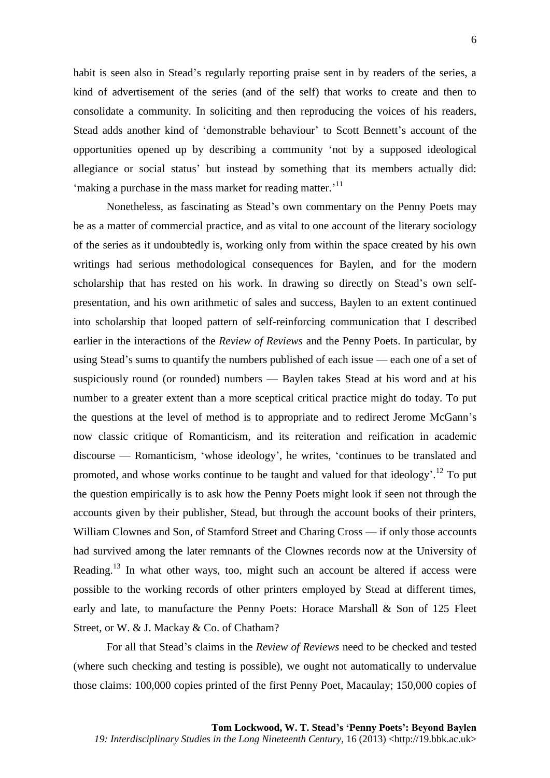habit is seen also in Stead's regularly reporting praise sent in by readers of the series, a kind of advertisement of the series (and of the self) that works to create and then to consolidate a community. In soliciting and then reproducing the voices of his readers, Stead adds another kind of 'demonstrable behaviour' to Scott Bennett's account of the opportunities opened up by describing a community 'not by a supposed ideological allegiance or social status' but instead by something that its members actually did: 'making a purchase in the mass market for reading matter.'<sup>11</sup>

Nonetheless, as fascinating as Stead's own commentary on the Penny Poets may be as a matter of commercial practice, and as vital to one account of the literary sociology of the series as it undoubtedly is, working only from within the space created by his own writings had serious methodological consequences for Baylen, and for the modern scholarship that has rested on his work. In drawing so directly on Stead's own selfpresentation, and his own arithmetic of sales and success, Baylen to an extent continued into scholarship that looped pattern of self-reinforcing communication that I described earlier in the interactions of the *Review of Reviews* and the Penny Poets. In particular, by using Stead's sums to quantify the numbers published of each issue — each one of a set of suspiciously round (or rounded) numbers — Baylen takes Stead at his word and at his number to a greater extent than a more sceptical critical practice might do today. To put the questions at the level of method is to appropriate and to redirect Jerome McGann's now classic critique of Romanticism, and its reiteration and reification in academic discourse — Romanticism, 'whose ideology', he writes, 'continues to be translated and promoted, and whose works continue to be taught and valued for that ideology'.<sup>12</sup> To put the question empirically is to ask how the Penny Poets might look if seen not through the accounts given by their publisher, Stead, but through the account books of their printers, William Clownes and Son, of Stamford Street and Charing Cross — if only those accounts had survived among the later remnants of the Clownes records now at the University of Reading.<sup>13</sup> In what other ways, too, might such an account be altered if access were possible to the working records of other printers employed by Stead at different times, early and late, to manufacture the Penny Poets: Horace Marshall & Son of 125 Fleet Street, or W. & J. Mackay & Co. of Chatham?

For all that Stead's claims in the *Review of Reviews* need to be checked and tested (where such checking and testing is possible), we ought not automatically to undervalue those claims: 100,000 copies printed of the first Penny Poet, Macaulay; 150,000 copies of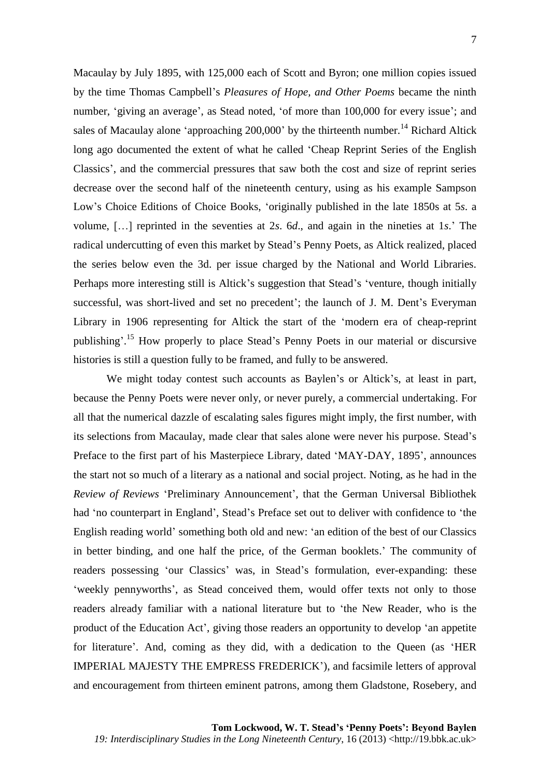Macaulay by July 1895, with 125,000 each of Scott and Byron; one million copies issued by the time Thomas Campbell's *Pleasures of Hope, and Other Poems* became the ninth number, 'giving an average', as Stead noted, 'of more than 100,000 for every issue'; and sales of Macaulay alone 'approaching  $200,000$ ' by the thirteenth number.<sup>14</sup> Richard Altick long ago documented the extent of what he called 'Cheap Reprint Series of the English Classics', and the commercial pressures that saw both the cost and size of reprint series decrease over the second half of the nineteenth century, using as his example Sampson Low's Choice Editions of Choice Books, 'originally published in the late 1850s at 5*s*. a volume, […] reprinted in the seventies at 2*s*. 6*d*., and again in the nineties at 1*s*.' The radical undercutting of even this market by Stead's Penny Poets, as Altick realized, placed the series below even the 3d. per issue charged by the National and World Libraries. Perhaps more interesting still is Altick's suggestion that Stead's 'venture, though initially successful, was short-lived and set no precedent'; the launch of J. M. Dent's Everyman Library in 1906 representing for Altick the start of the 'modern era of cheap-reprint publishing'.<sup>15</sup> How properly to place Stead's Penny Poets in our material or discursive histories is still a question fully to be framed, and fully to be answered.

We might today contest such accounts as Baylen's or Altick's, at least in part, because the Penny Poets were never only, or never purely, a commercial undertaking. For all that the numerical dazzle of escalating sales figures might imply, the first number, with its selections from Macaulay, made clear that sales alone were never his purpose. Stead's Preface to the first part of his Masterpiece Library, dated 'MAY-DAY, 1895', announces the start not so much of a literary as a national and social project. Noting, as he had in the *Review of Reviews* 'Preliminary Announcement', that the German Universal Bibliothek had 'no counterpart in England', Stead's Preface set out to deliver with confidence to 'the English reading world' something both old and new: 'an edition of the best of our Classics in better binding, and one half the price, of the German booklets.' The community of readers possessing 'our Classics' was, in Stead's formulation, ever-expanding: these 'weekly pennyworths', as Stead conceived them, would offer texts not only to those readers already familiar with a national literature but to 'the New Reader, who is the product of the Education Act', giving those readers an opportunity to develop 'an appetite for literature'. And, coming as they did, with a dedication to the Queen (as 'HER IMPERIAL MAJESTY THE EMPRESS FREDERICK'), and facsimile letters of approval and encouragement from thirteen eminent patrons, among them Gladstone, Rosebery, and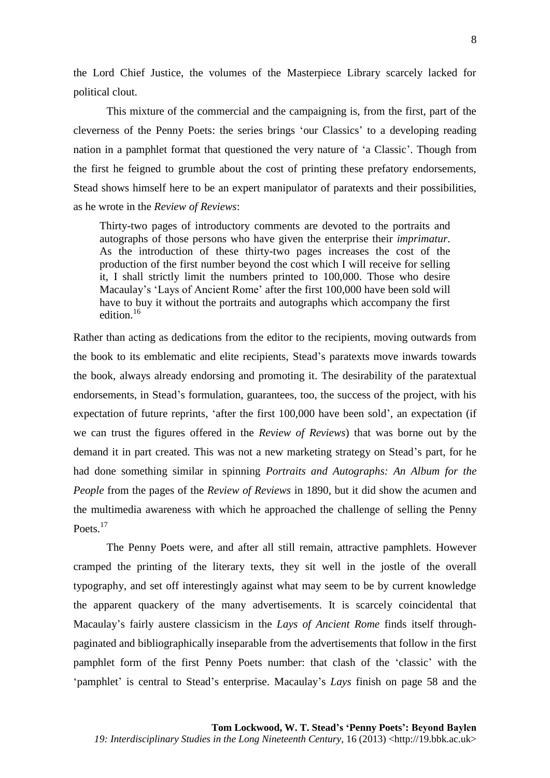the Lord Chief Justice, the volumes of the Masterpiece Library scarcely lacked for political clout.

This mixture of the commercial and the campaigning is, from the first, part of the cleverness of the Penny Poets: the series brings 'our Classics' to a developing reading nation in a pamphlet format that questioned the very nature of 'a Classic'. Though from the first he feigned to grumble about the cost of printing these prefatory endorsements, Stead shows himself here to be an expert manipulator of paratexts and their possibilities, as he wrote in the *Review of Reviews*:

Thirty-two pages of introductory comments are devoted to the portraits and autographs of those persons who have given the enterprise their *imprimatur*. As the introduction of these thirty-two pages increases the cost of the production of the first number beyond the cost which I will receive for selling it, I shall strictly limit the numbers printed to 100,000. Those who desire Macaulay's 'Lays of Ancient Rome' after the first 100,000 have been sold will have to buy it without the portraits and autographs which accompany the first edition $16$ 

Rather than acting as dedications from the editor to the recipients, moving outwards from the book to its emblematic and elite recipients, Stead's paratexts move inwards towards the book, always already endorsing and promoting it. The desirability of the paratextual endorsements, in Stead's formulation, guarantees, too, the success of the project, with his expectation of future reprints, 'after the first 100,000 have been sold', an expectation (if we can trust the figures offered in the *Review of Reviews*) that was borne out by the demand it in part created. This was not a new marketing strategy on Stead's part, for he had done something similar in spinning *Portraits and Autographs: An Album for the People* from the pages of the *Review of Reviews* in 1890, but it did show the acumen and the multimedia awareness with which he approached the challenge of selling the Penny Poets.<sup>17</sup>

The Penny Poets were, and after all still remain, attractive pamphlets. However cramped the printing of the literary texts, they sit well in the jostle of the overall typography, and set off interestingly against what may seem to be by current knowledge the apparent quackery of the many advertisements. It is scarcely coincidental that Macaulay's fairly austere classicism in the *Lays of Ancient Rome* finds itself throughpaginated and bibliographically inseparable from the advertisements that follow in the first pamphlet form of the first Penny Poets number: that clash of the 'classic' with the 'pamphlet' is central to Stead's enterprise. Macaulay's *Lays* finish on page 58 and the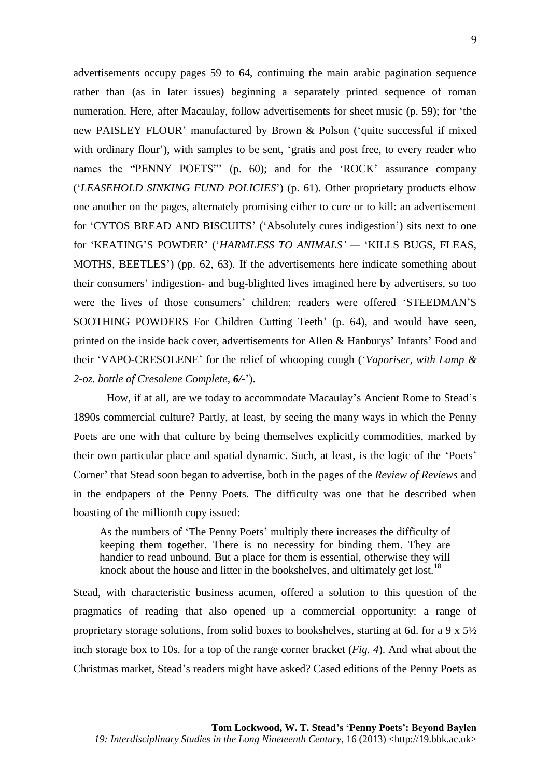advertisements occupy pages 59 to 64, continuing the main arabic pagination sequence rather than (as in later issues) beginning a separately printed sequence of roman numeration. Here, after Macaulay, follow advertisements for sheet music (p. 59); for 'the new PAISLEY FLOUR' manufactured by Brown & Polson ('quite successful if mixed with ordinary flour'), with samples to be sent, 'gratis and post free, to every reader who names the "PENNY POETS" (p. 60); and for the 'ROCK' assurance company ('*LEASEHOLD SINKING FUND POLICIES*') (p. 61). Other proprietary products elbow one another on the pages, alternately promising either to cure or to kill: an advertisement for 'CYTOS BREAD AND BISCUITS' ('Absolutely cures indigestion') sits next to one for 'KEATING'S POWDER' ('*HARMLESS TO ANIMALS' —* 'KILLS BUGS, FLEAS, MOTHS, BEETLES') (pp. 62, 63). If the advertisements here indicate something about their consumers' indigestion- and bug-blighted lives imagined here by advertisers, so too were the lives of those consumers' children: readers were offered 'STEEDMAN'S SOOTHING POWDERS For Children Cutting Teeth' (p. 64), and would have seen, printed on the inside back cover, advertisements for Allen & Hanburys' Infants' Food and their 'VAPO-CRESOLENE' for the relief of whooping cough ('*Vaporiser, with Lamp & 2-oz. bottle of Cresolene Complete, 6/-*').

How, if at all, are we today to accommodate Macaulay's Ancient Rome to Stead's 1890s commercial culture? Partly, at least, by seeing the many ways in which the Penny Poets are one with that culture by being themselves explicitly commodities, marked by their own particular place and spatial dynamic. Such, at least, is the logic of the 'Poets' Corner' that Stead soon began to advertise, both in the pages of the *Review of Reviews* and in the endpapers of the Penny Poets. The difficulty was one that he described when boasting of the millionth copy issued:

As the numbers of 'The Penny Poets' multiply there increases the difficulty of keeping them together. There is no necessity for binding them. They are handier to read unbound. But a place for them is essential, otherwise they will knock about the house and litter in the bookshelves, and ultimately get lost.<sup>18</sup>

Stead, with characteristic business acumen, offered a solution to this question of the pragmatics of reading that also opened up a commercial opportunity: a range of proprietary storage solutions, from solid boxes to bookshelves, starting at 6d. for a 9 x 5½ inch storage box to 10s. for a top of the range corner bracket (*Fig. 4*). And what about the Christmas market, Stead's readers might have asked? Cased editions of the Penny Poets as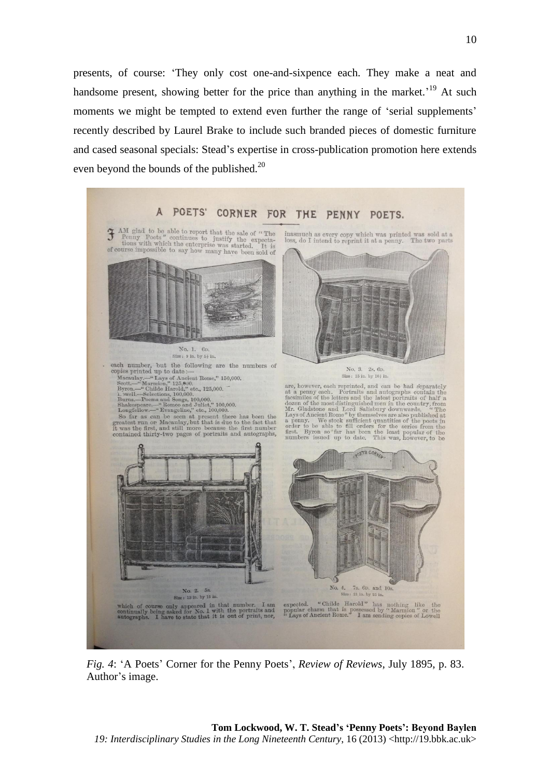presents, of course: 'They only cost one-and-sixpence each. They make a neat and handsome present, showing better for the price than anything in the market.<sup>19</sup> At such moments we might be tempted to extend even further the range of 'serial supplements' recently described by Laurel Brake to include such branded pieces of domestic furniture and cased seasonal specials: Stead's expertise in cross-publication promotion here extends even beyond the bounds of the published.<sup>20</sup>



*Fig. 4*: 'A Poets' Corner for the Penny Poets', *Review of Reviews*, July 1895, p. 83. Author's image.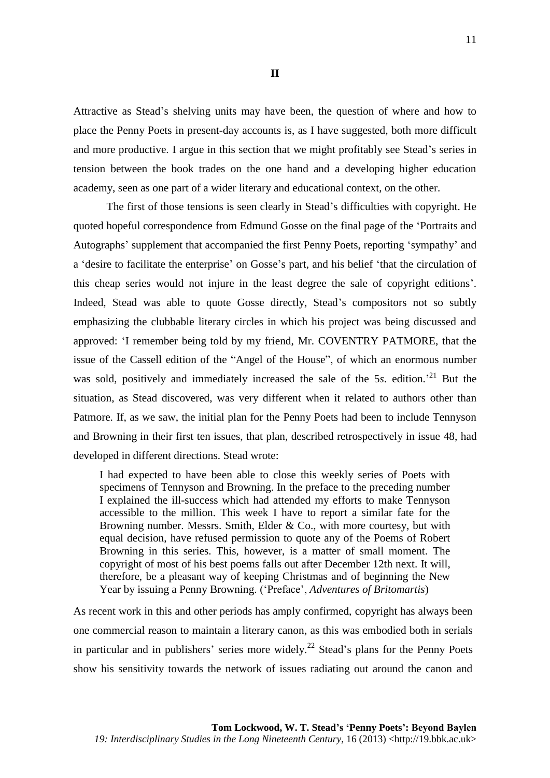Attractive as Stead's shelving units may have been, the question of where and how to place the Penny Poets in present-day accounts is, as I have suggested, both more difficult and more productive. I argue in this section that we might profitably see Stead's series in tension between the book trades on the one hand and a developing higher education academy, seen as one part of a wider literary and educational context, on the other.

The first of those tensions is seen clearly in Stead's difficulties with copyright. He quoted hopeful correspondence from Edmund Gosse on the final page of the 'Portraits and Autographs' supplement that accompanied the first Penny Poets, reporting 'sympathy' and a 'desire to facilitate the enterprise' on Gosse's part, and his belief 'that the circulation of this cheap series would not injure in the least degree the sale of copyright editions'. Indeed, Stead was able to quote Gosse directly, Stead's compositors not so subtly emphasizing the clubbable literary circles in which his project was being discussed and approved: 'I remember being told by my friend, Mr. COVENTRY PATMORE, that the issue of the Cassell edition of the "Angel of the House", of which an enormous number was sold, positively and immediately increased the sale of the 5s. edition.<sup>21</sup> But the situation, as Stead discovered, was very different when it related to authors other than Patmore. If, as we saw, the initial plan for the Penny Poets had been to include Tennyson and Browning in their first ten issues, that plan, described retrospectively in issue 48, had developed in different directions. Stead wrote:

I had expected to have been able to close this weekly series of Poets with specimens of Tennyson and Browning. In the preface to the preceding number I explained the ill-success which had attended my efforts to make Tennyson accessible to the million. This week I have to report a similar fate for the Browning number. Messrs. Smith, Elder & Co., with more courtesy, but with equal decision, have refused permission to quote any of the Poems of Robert Browning in this series. This, however, is a matter of small moment. The copyright of most of his best poems falls out after December 12th next. It will, therefore, be a pleasant way of keeping Christmas and of beginning the New Year by issuing a Penny Browning. ('Preface', *Adventures of Britomartis*)

As recent work in this and other periods has amply confirmed, copyright has always been one commercial reason to maintain a literary canon, as this was embodied both in serials in particular and in publishers' series more widely.<sup>22</sup> Stead's plans for the Penny Poets show his sensitivity towards the network of issues radiating out around the canon and

11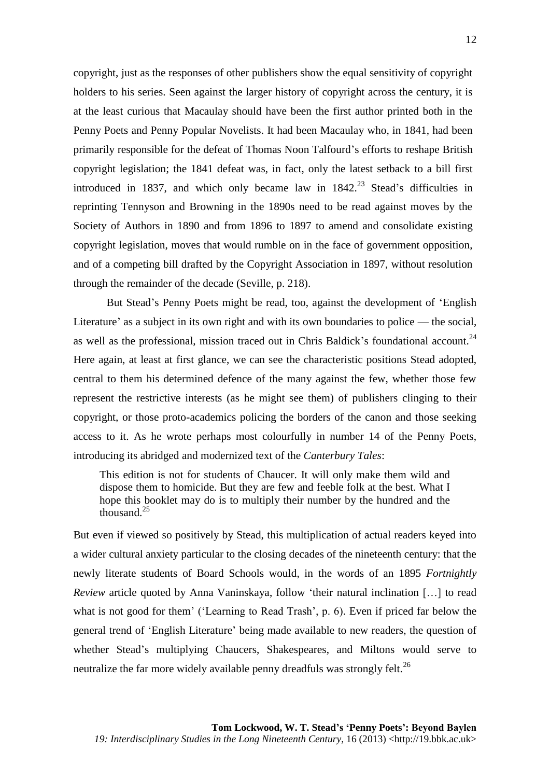copyright, just as the responses of other publishers show the equal sensitivity of copyright holders to his series. Seen against the larger history of copyright across the century, it is at the least curious that Macaulay should have been the first author printed both in the Penny Poets and Penny Popular Novelists. It had been Macaulay who, in 1841, had been primarily responsible for the defeat of Thomas Noon Talfourd's efforts to reshape British copyright legislation; the 1841 defeat was, in fact, only the latest setback to a bill first introduced in 1837, and which only became law in  $1842<sup>23</sup>$  Stead's difficulties in reprinting Tennyson and Browning in the 1890s need to be read against moves by the Society of Authors in 1890 and from 1896 to 1897 to amend and consolidate existing copyright legislation, moves that would rumble on in the face of government opposition, and of a competing bill drafted by the Copyright Association in 1897, without resolution through the remainder of the decade (Seville, p. 218).

But Stead's Penny Poets might be read, too, against the development of 'English Literature' as a subject in its own right and with its own boundaries to police — the social, as well as the professional, mission traced out in Chris Baldick's foundational account.<sup>24</sup> Here again, at least at first glance, we can see the characteristic positions Stead adopted, central to them his determined defence of the many against the few, whether those few represent the restrictive interests (as he might see them) of publishers clinging to their copyright, or those proto-academics policing the borders of the canon and those seeking access to it. As he wrote perhaps most colourfully in number 14 of the Penny Poets, introducing its abridged and modernized text of the *Canterbury Tales*:

This edition is not for students of Chaucer. It will only make them wild and dispose them to homicide. But they are few and feeble folk at the best. What I hope this booklet may do is to multiply their number by the hundred and the thousand.<sup>25</sup>

But even if viewed so positively by Stead, this multiplication of actual readers keyed into a wider cultural anxiety particular to the closing decades of the nineteenth century: that the newly literate students of Board Schools would, in the words of an 1895 *Fortnightly Review* article quoted by Anna Vaninskaya, follow 'their natural inclination […] to read what is not good for them' ('Learning to Read Trash', p. 6). Even if priced far below the general trend of 'English Literature' being made available to new readers, the question of whether Stead's multiplying Chaucers, Shakespeares, and Miltons would serve to neutralize the far more widely available penny dreadfuls was strongly felt.<sup>26</sup>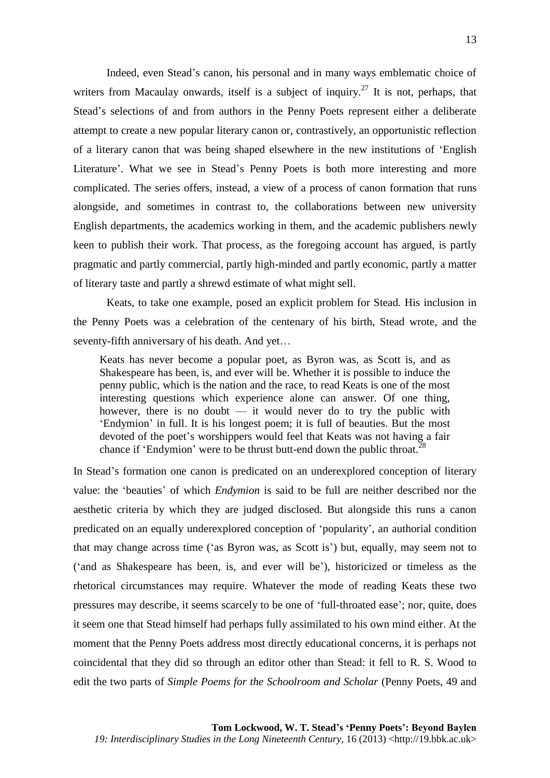Indeed, even Stead's canon, his personal and in many ways emblematic choice of writers from Macaulay onwards, itself is a subject of inquiry.<sup>27</sup> It is not, perhaps, that Stead's selections of and from authors in the Penny Poets represent either a deliberate attempt to create a new popular literary canon or, contrastively, an opportunistic reflection of a literary canon that was being shaped elsewhere in the new institutions of 'English Literature'. What we see in Stead's Penny Poets is both more interesting and more complicated. The series offers, instead, a view of a process of canon formation that runs alongside, and sometimes in contrast to, the collaborations between new university English departments, the academics working in them, and the academic publishers newly keen to publish their work. That process, as the foregoing account has argued, is partly pragmatic and partly commercial, partly high-minded and partly economic, partly a matter of literary taste and partly a shrewd estimate of what might sell.

Keats, to take one example, posed an explicit problem for Stead. His inclusion in the Penny Poets was a celebration of the centenary of his birth, Stead wrote, and the seventy-fifth anniversary of his death. And yet…

Keats has never become a popular poet, as Byron was, as Scott is, and as Shakespeare has been, is, and ever will be. Whether it is possible to induce the penny public, which is the nation and the race, to read Keats is one of the most interesting questions which experience alone can answer. Of one thing, however, there is no doubt  $-$  it would never do to try the public with 'Endymion' in full. It is his longest poem; it is full of beauties. But the most devoted of the poet's worshippers would feel that Keats was not having a fair chance if 'Endymion' were to be thrust butt-end down the public throat.<sup>28</sup>

In Stead's formation one canon is predicated on an underexplored conception of literary value: the 'beauties' of which *Endymion* is said to be full are neither described nor the aesthetic criteria by which they are judged disclosed. But alongside this runs a canon predicated on an equally underexplored conception of 'popularity', an authorial condition that may change across time ('as Byron was, as Scott is') but, equally, may seem not to ('and as Shakespeare has been, is, and ever will be'), historicized or timeless as the rhetorical circumstances may require. Whatever the mode of reading Keats these two pressures may describe, it seems scarcely to be one of 'full-throated ease'; nor, quite, does it seem one that Stead himself had perhaps fully assimilated to his own mind either. At the moment that the Penny Poets address most directly educational concerns, it is perhaps not coincidental that they did so through an editor other than Stead: it fell to R. S. Wood to edit the two parts of *Simple Poems for the Schoolroom and Scholar* (Penny Poets, 49 and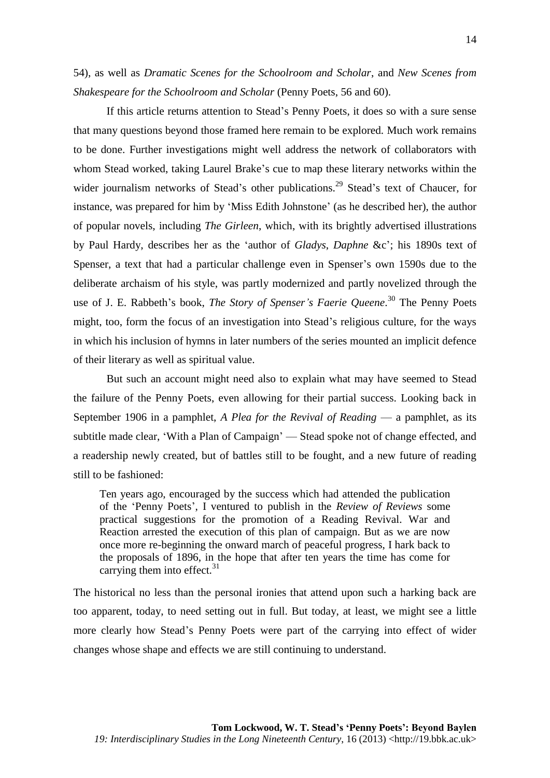54), as well as *Dramatic Scenes for the Schoolroom and Scholar*, and *New Scenes from Shakespeare for the Schoolroom and Scholar* (Penny Poets, 56 and 60).

If this article returns attention to Stead's Penny Poets, it does so with a sure sense that many questions beyond those framed here remain to be explored. Much work remains to be done. Further investigations might well address the network of collaborators with whom Stead worked, taking Laurel Brake's cue to map these literary networks within the wider journalism networks of Stead's other publications.<sup>29</sup> Stead's text of Chaucer, for instance, was prepared for him by 'Miss Edith Johnstone' (as he described her), the author of popular novels, including *The Girleen*, which, with its brightly advertised illustrations by Paul Hardy, describes her as the 'author of *Gladys*, *Daphne* &c'; his 1890s text of Spenser, a text that had a particular challenge even in Spenser's own 1590s due to the deliberate archaism of his style, was partly modernized and partly novelized through the use of J. E. Rabbeth's book, *The Story of Spenser's Faerie Queene*. <sup>30</sup> The Penny Poets might, too, form the focus of an investigation into Stead's religious culture, for the ways in which his inclusion of hymns in later numbers of the series mounted an implicit defence of their literary as well as spiritual value.

But such an account might need also to explain what may have seemed to Stead the failure of the Penny Poets, even allowing for their partial success. Looking back in September 1906 in a pamphlet, *A Plea for the Revival of Reading* — a pamphlet, as its subtitle made clear, 'With a Plan of Campaign' — Stead spoke not of change effected, and a readership newly created, but of battles still to be fought, and a new future of reading still to be fashioned:

Ten years ago, encouraged by the success which had attended the publication of the 'Penny Poets', I ventured to publish in the *Review of Reviews* some practical suggestions for the promotion of a Reading Revival. War and Reaction arrested the execution of this plan of campaign. But as we are now once more re-beginning the onward march of peaceful progress, I hark back to the proposals of 1896, in the hope that after ten years the time has come for carrying them into effect. $31$ 

The historical no less than the personal ironies that attend upon such a harking back are too apparent, today, to need setting out in full. But today, at least, we might see a little more clearly how Stead's Penny Poets were part of the carrying into effect of wider changes whose shape and effects we are still continuing to understand.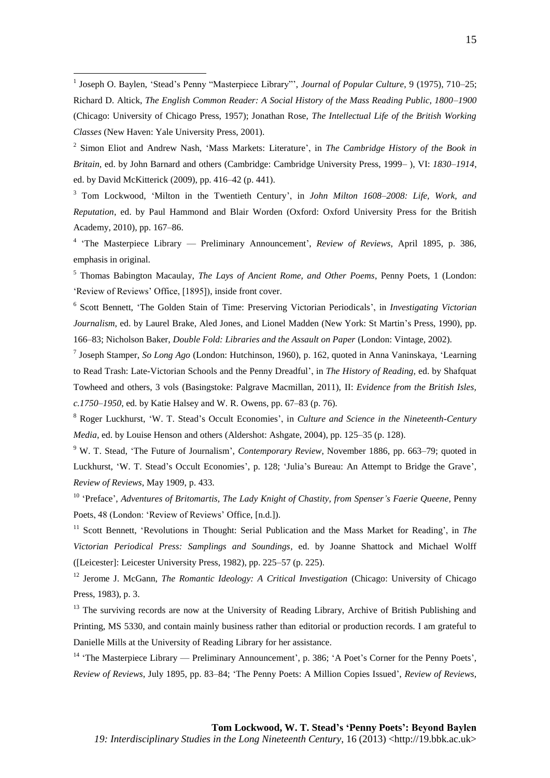2 Simon Eliot and Andrew Nash, 'Mass Markets: Literature', in *The Cambridge History of the Book in Britain,* ed. by John Barnard and others (Cambridge: Cambridge University Press, 1999– ), VI: *1830–1914*, ed. by David McKitterick (2009), pp. 416–42 (p. 441).

<sup>3</sup> Tom Lockwood, 'Milton in the Twentieth Century', in *John Milton 1608–2008: Life, Work, and Reputation*, ed. by Paul Hammond and Blair Worden (Oxford: Oxford University Press for the British Academy, 2010), pp. 167–86.

4 'The Masterpiece Library — Preliminary Announcement', *Review of Reviews*, April 1895, p. 386, emphasis in original.

<sup>5</sup> Thomas Babington Macaulay, *The Lays of Ancient Rome, and Other Poems*, Penny Poets, 1 (London: 'Review of Reviews' Office, [1895]), inside front cover.

6 Scott Bennett, 'The Golden Stain of Time: Preserving Victorian Periodicals', in *Investigating Victorian Journalism*, ed. by Laurel Brake, Aled Jones, and Lionel Madden (New York: St Martin's Press, 1990), pp. 166–83; Nicholson Baker, *Double Fold: Libraries and the Assault on Paper* (London: Vintage, 2002).

7 Joseph Stamper, *So Long Ago* (London: Hutchinson, 1960), p. 162, quoted in Anna Vaninskaya, 'Learning to Read Trash: Late-Victorian Schools and the Penny Dreadful', in *The History of Reading*, ed. by Shafquat Towheed and others, 3 vols (Basingstoke: Palgrave Macmillan, 2011), II: *Evidence from the British Isles, c.1750–1950*, ed. by Katie Halsey and W. R. Owens, pp. 67–83 (p. 76).

<sup>8</sup> Roger Luckhurst, 'W. T. Stead's Occult Economies', in *Culture and Science in the Nineteenth-Century Media*, ed. by Louise Henson and others (Aldershot: Ashgate, 2004), pp. 125–35 (p. 128).

<sup>9</sup> W. T. Stead, 'The Future of Journalism', *Contemporary Review*, November 1886, pp. 663–79; quoted in Luckhurst, 'W. T. Stead's Occult Economies', p. 128; 'Julia's Bureau: An Attempt to Bridge the Grave', *Review of Reviews*, May 1909, p. 433.

<sup>10</sup> 'Preface', *Adventures of Britomartis, The Lady Knight of Chastity, from Spenser's Faerie Queene*, Penny Poets, 48 (London: 'Review of Reviews' Office, [n.d.]).

<sup>11</sup> Scott Bennett, 'Revolutions in Thought: Serial Publication and the Mass Market for Reading', in *The Victorian Periodical Press: Samplings and Soundings*, ed. by Joanne Shattock and Michael Wolff ([Leicester]: Leicester University Press, 1982), pp. 225–57 (p. 225).

<sup>12</sup> Jerome J. McGann, *The Romantic Ideology: A Critical Investigation* (Chicago: University of Chicago Press, 1983), p. 3.

<sup>13</sup> The surviving records are now at the University of Reading Library, Archive of British Publishing and Printing, MS 5330, and contain mainly business rather than editorial or production records. I am grateful to Danielle Mills at the University of Reading Library for her assistance.

<sup>14</sup> 'The Masterpiece Library — Preliminary Announcement', p. 386; 'A Poet's Corner for the Penny Poets', *Review of Reviews*, July 1895, pp. 83–84; 'The Penny Poets: A Million Copies Issued', *Review of Reviews*,

 1 Joseph O. Baylen, 'Stead's Penny "Masterpiece Library"', *Journal of Popular Culture*, 9 (1975), 710–25; Richard D. Altick, *The English Common Reader: A Social History of the Mass Reading Public, 1800–1900* (Chicago: University of Chicago Press, 1957); Jonathan Rose, *The Intellectual Life of the British Working Classes* (New Haven: Yale University Press, 2001).